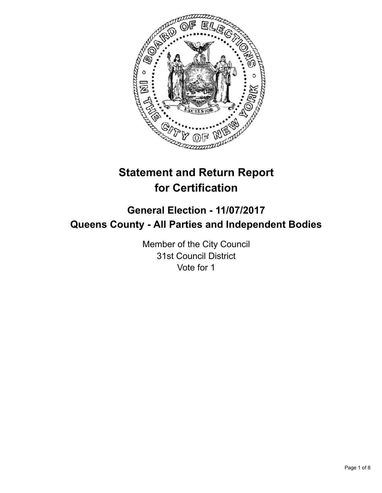

# **Statement and Return Report for Certification**

# **General Election - 11/07/2017 Queens County - All Parties and Independent Bodies**

Member of the City Council 31st Council District Vote for 1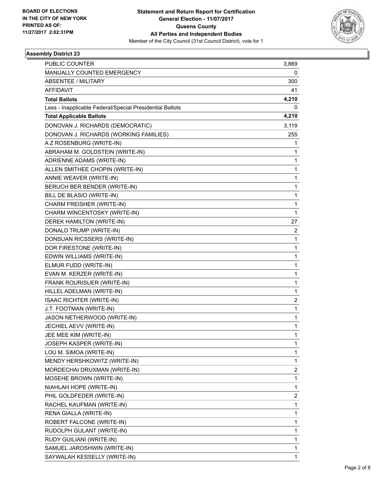

| <b>PUBLIC COUNTER</b>                                    | 3,869          |
|----------------------------------------------------------|----------------|
| MANUALLY COUNTED EMERGENCY                               | 0              |
| <b>ABSENTEE / MILITARY</b>                               | 300            |
| <b>AFFIDAVIT</b>                                         | 41             |
| <b>Total Ballots</b>                                     | 4,210          |
| Less - Inapplicable Federal/Special Presidential Ballots | 0              |
| <b>Total Applicable Ballots</b>                          | 4,210          |
| DONOVAN J. RICHARDS (DEMOCRATIC)                         | 3,119          |
| DONOVAN J. RICHARDS (WORKING FAMILIES)                   | 255            |
| A Z ROSENBURG (WRITE-IN)                                 | 1              |
| ABRAHAM M. GOLDSTEIN (WRITE-IN)                          | 1              |
| ADRIENNE ADAMS (WRITE-IN)                                | 1              |
| ALLEN SMITHEE CHOPIN (WRITE-IN)                          | 1              |
| ANNIE WEAVER (WRITE-IN)                                  | 1              |
| BERUCH BER BENDER (WRITE-IN)                             | 1              |
| BILL DE BLASIO (WRITE-IN)                                | 1              |
| CHARM FREISHER (WRITE-IN)                                | 1              |
| CHARM WINCENTOSKY (WRITE-IN)                             | 1              |
| DEREK HAMILTON (WRITE-IN)                                | 27             |
| DONALD TRUMP (WRITE-IN)                                  | $\overline{2}$ |
| DONSUAN RICSSERS (WRITE-IN)                              | 1              |
| DOR FIRESTONE (WRITE-IN)                                 | 1              |
| EDWIN WILLIAMS (WRITE-IN)                                | $\mathbf{1}$   |
| ELMUR FUDD (WRITE-IN)                                    | 1              |
| EVAN M. KERZER (WRITE-IN)                                | 1              |
| FRANK ROURISUER (WRITE-IN)                               | $\mathbf{1}$   |
| HILLEL ADELMAN (WRITE-IN)                                | 1              |
| ISAAC RICHTER (WRITE-IN)                                 | 2              |
| J.T. FOOTMAN (WRITE-IN)                                  | 1              |
| JASON NETHERWOOD (WRITE-IN)                              | 1              |
| JECHIEL AEVV (WRITE-IN)                                  | 1              |
| JEE MEE KIM (WRITE-IN)                                   | 1              |
| JOSEPH KASPER (WRITE-IN)                                 | 1              |
| LOU M. SIMOA (WRITE-IN)                                  | 1              |
| MENDY HERSHKOWITZ (WRITE-IN)                             | 1              |
| MORDECHAI DRUXMAN (WRITE-IN)                             | 2              |
| MOSEHE BROWN (WRITE-IN)                                  | 1              |
| NIAHLAH HOPE (WRITE-IN)                                  | 1              |
| PHIL GOLDFEDER (WRITE-IN)                                | 2              |
| RACHEL KAUFMAN (WRITE-IN)                                | 1              |
| RENA GIALLA (WRITE-IN)                                   | 1              |
| ROBERT FALCONE (WRITE-IN)                                | 1              |
| RUDOLPH GULANT (WRITE-IN)                                | 1              |
| RUDY GUILIANI (WRITE-IN)                                 | 1              |
| SAMUEL JAROSHWIN (WRITE-IN)                              | 1              |
| SAYWALAH KESSELLY (WRITE-IN)                             | 1              |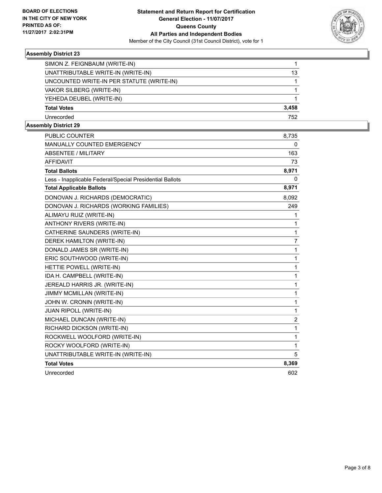

| SIMON Z. FEIGNBAUM (WRITE-IN)             |       |
|-------------------------------------------|-------|
| UNATTRIBUTABLE WRITE-IN (WRITE-IN)        | 13    |
| UNCOUNTED WRITE-IN PER STATUTE (WRITE-IN) |       |
| VAKOR SILBERG (WRITE-IN)                  |       |
| YEHEDA DEUBEL (WRITE-IN)                  |       |
| <b>Total Votes</b>                        | 3,458 |
| Unrecorded                                | 752   |

| <b>PUBLIC COUNTER</b>                                    | 8,735          |
|----------------------------------------------------------|----------------|
| <b>MANUALLY COUNTED EMERGENCY</b>                        | 0              |
| <b>ABSENTEE / MILITARY</b>                               | 163            |
| <b>AFFIDAVIT</b>                                         | 73             |
| <b>Total Ballots</b>                                     | 8,971          |
| Less - Inapplicable Federal/Special Presidential Ballots | 0              |
| <b>Total Applicable Ballots</b>                          | 8,971          |
| DONOVAN J. RICHARDS (DEMOCRATIC)                         | 8,092          |
| DONOVAN J. RICHARDS (WORKING FAMILIES)                   | 249            |
| ALIMAYU RUIZ (WRITE-IN)                                  | 1              |
| <b>ANTHONY RIVERS (WRITE-IN)</b>                         | 1              |
| CATHERINE SAUNDERS (WRITE-IN)                            | 1              |
| DEREK HAMILTON (WRITE-IN)                                | $\overline{7}$ |
| DONALD JAMES SR (WRITE-IN)                               | 1              |
| ERIC SOUTHWOOD (WRITE-IN)                                | 1              |
| HETTIE POWELL (WRITE-IN)                                 | 1              |
| IDA H. CAMPBELL (WRITE-IN)                               | 1              |
| JEREALD HARRIS JR. (WRITE-IN)                            | 1              |
| JIMMY MCMILLAN (WRITE-IN)                                | 1              |
| JOHN W. CRONIN (WRITE-IN)                                | 1              |
| JUAN RIPOLL (WRITE-IN)                                   | 1              |
| MICHAEL DUNCAN (WRITE-IN)                                | 2              |
| RICHARD DICKSON (WRITE-IN)                               | 1              |
| ROCKWELL WOOLFORD (WRITE-IN)                             | 1              |
| ROCKY WOOLFORD (WRITE-IN)                                | 1              |
| UNATTRIBUTABLE WRITE-IN (WRITE-IN)                       | 5              |
| <b>Total Votes</b>                                       | 8,369          |
| Unrecorded                                               | 602            |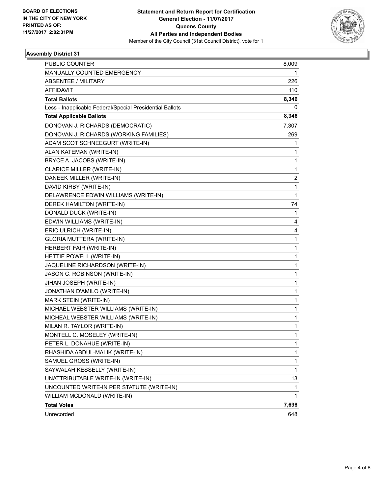

| <b>PUBLIC COUNTER</b>                                    | 8,009 |
|----------------------------------------------------------|-------|
| MANUALLY COUNTED EMERGENCY                               | 1     |
| <b>ABSENTEE / MILITARY</b>                               | 226   |
| <b>AFFIDAVIT</b>                                         | 110   |
| <b>Total Ballots</b>                                     | 8,346 |
| Less - Inapplicable Federal/Special Presidential Ballots | 0     |
| <b>Total Applicable Ballots</b>                          | 8,346 |
| DONOVAN J. RICHARDS (DEMOCRATIC)                         | 7,307 |
| DONOVAN J. RICHARDS (WORKING FAMILIES)                   | 269   |
| ADAM SCOT SCHNEEGURT (WRITE-IN)                          | 1     |
| ALAN KATEMAN (WRITE-IN)                                  | 1     |
| BRYCE A. JACOBS (WRITE-IN)                               | 1     |
| <b>CLARICE MILLER (WRITE-IN)</b>                         | 1     |
| DANEEK MILLER (WRITE-IN)                                 | 2     |
| DAVID KIRBY (WRITE-IN)                                   | 1     |
| DELAWRENCE EDWIN WILLIAMS (WRITE-IN)                     | 1     |
| DEREK HAMILTON (WRITE-IN)                                | 74    |
| DONALD DUCK (WRITE-IN)                                   | 1     |
| EDWIN WILLIAMS (WRITE-IN)                                | 4     |
| ERIC ULRICH (WRITE-IN)                                   | 4     |
| <b>GLORIA MUTTERA (WRITE-IN)</b>                         | 1     |
| HERBERT FAIR (WRITE-IN)                                  | 1     |
| HETTIE POWELL (WRITE-IN)                                 | 1     |
| JAQUELINE RICHARDSON (WRITE-IN)                          | 1     |
| JASON C. ROBINSON (WRITE-IN)                             | 1     |
| JIHAN JOSEPH (WRITE-IN)                                  | 1     |
| JONATHAN D'AMILO (WRITE-IN)                              | 1     |
| MARK STEIN (WRITE-IN)                                    | 1     |
| MICHAEL WEBSTER WILLIAMS (WRITE-IN)                      | 1     |
| MICHEAL WEBSTER WILLIAMS (WRITE-IN)                      | 1     |
| MILAN R. TAYLOR (WRITE-IN)                               | 1     |
| MONTELL C. MOSELEY (WRITE-IN)                            | 1     |
| PETER L. DONAHUE (WRITE-IN)                              | 1     |
| RHASHIDA ABDUL-MALIK (WRITE-IN)                          | 1     |
| SAMUEL GROSS (WRITE-IN)                                  | 1     |
| SAYWALAH KESSELLY (WRITE-IN)                             | 1     |
| UNATTRIBUTABLE WRITE-IN (WRITE-IN)                       | 13    |
| UNCOUNTED WRITE-IN PER STATUTE (WRITE-IN)                | 1     |
| WILLIAM MCDONALD (WRITE-IN)                              | 1.    |
| <b>Total Votes</b>                                       | 7,698 |
| Unrecorded                                               | 648   |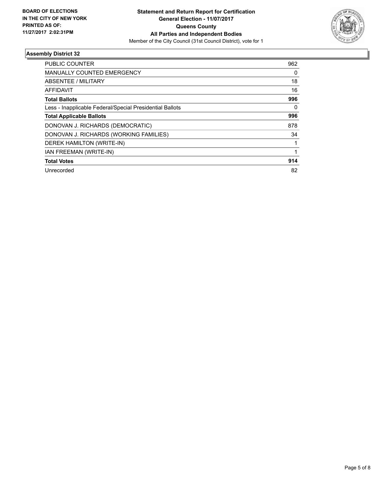

| <b>PUBLIC COUNTER</b>                                    | 962 |
|----------------------------------------------------------|-----|
| <b>MANUALLY COUNTED EMERGENCY</b>                        | 0   |
| ABSENTEE / MILITARY                                      | 18  |
| AFFIDAVIT                                                | 16  |
| <b>Total Ballots</b>                                     | 996 |
| Less - Inapplicable Federal/Special Presidential Ballots | 0   |
| <b>Total Applicable Ballots</b>                          | 996 |
| DONOVAN J. RICHARDS (DEMOCRATIC)                         | 878 |
| DONOVAN J. RICHARDS (WORKING FAMILIES)                   | 34  |
| DEREK HAMILTON (WRITE-IN)                                |     |
| <b>IAN FREEMAN (WRITE-IN)</b>                            |     |
| <b>Total Votes</b>                                       | 914 |
| Unrecorded                                               | 82  |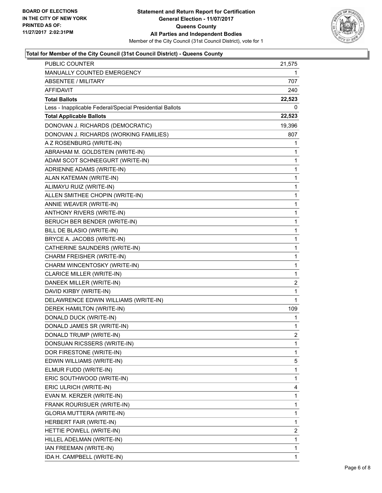

## **Total for Member of the City Council (31st Council District) - Queens County**

| <b>PUBLIC COUNTER</b>                                    | 21,575         |
|----------------------------------------------------------|----------------|
| MANUALLY COUNTED EMERGENCY                               | 1              |
| <b>ABSENTEE / MILITARY</b>                               | 707            |
| AFFIDAVIT                                                | 240            |
| <b>Total Ballots</b>                                     | 22,523         |
| Less - Inapplicable Federal/Special Presidential Ballots | 0              |
| <b>Total Applicable Ballots</b>                          | 22,523         |
| DONOVAN J. RICHARDS (DEMOCRATIC)                         | 19,396         |
| DONOVAN J. RICHARDS (WORKING FAMILIES)                   | 807            |
| A Z ROSENBURG (WRITE-IN)                                 | 1              |
| ABRAHAM M. GOLDSTEIN (WRITE-IN)                          | 1              |
| ADAM SCOT SCHNEEGURT (WRITE-IN)                          | 1              |
| ADRIENNE ADAMS (WRITE-IN)                                | 1              |
| ALAN KATEMAN (WRITE-IN)                                  | 1              |
| ALIMAYU RUIZ (WRITE-IN)                                  | 1              |
| ALLEN SMITHEE CHOPIN (WRITE-IN)                          | 1              |
| ANNIE WEAVER (WRITE-IN)                                  | 1              |
| ANTHONY RIVERS (WRITE-IN)                                | 1              |
| BERUCH BER BENDER (WRITE-IN)                             | 1              |
| BILL DE BLASIO (WRITE-IN)                                | 1              |
| BRYCE A. JACOBS (WRITE-IN)                               | 1              |
| CATHERINE SAUNDERS (WRITE-IN)                            | 1              |
| CHARM FREISHER (WRITE-IN)                                | 1              |
| CHARM WINCENTOSKY (WRITE-IN)                             | 1              |
| CLARICE MILLER (WRITE-IN)                                | 1              |
| DANEEK MILLER (WRITE-IN)                                 | 2              |
| DAVID KIRBY (WRITE-IN)                                   | 1              |
| DELAWRENCE EDWIN WILLIAMS (WRITE-IN)                     | 1              |
| DEREK HAMILTON (WRITE-IN)                                | 109            |
| DONALD DUCK (WRITE-IN)                                   | 1              |
| DONALD JAMES SR (WRITE-IN)                               | 1              |
| DONALD TRUMP (WRITE-IN)                                  | $\overline{2}$ |
| DONSUAN RICSSERS (WRITE-IN)                              | 1              |
| DOR FIRESTONE (WRITE-IN)                                 | 1              |
| EDWIN WILLIAMS (WRITE-IN)                                | 5              |
| ELMUR FUDD (WRITE-IN)                                    | 1              |
| ERIC SOUTHWOOD (WRITE-IN)                                | 1              |
| ERIC ULRICH (WRITE-IN)                                   | 4              |
| EVAN M. KERZER (WRITE-IN)                                | 1              |
| FRANK ROURISUER (WRITE-IN)                               | 1              |
| GLORIA MUTTERA (WRITE-IN)                                | 1              |
| HERBERT FAIR (WRITE-IN)                                  | 1              |
| HETTIE POWELL (WRITE-IN)                                 | 2              |
| HILLEL ADELMAN (WRITE-IN)                                | 1              |
| IAN FREEMAN (WRITE-IN)                                   | 1              |
| IDA H. CAMPBELL (WRITE-IN)                               | 1              |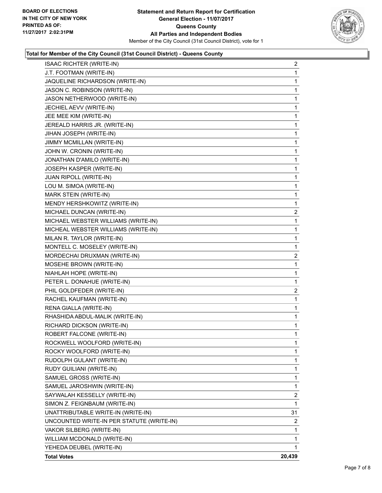

## **Total for Member of the City Council (31st Council District) - Queens County**

| <b>ISAAC RICHTER (WRITE-IN)</b>           | 2            |
|-------------------------------------------|--------------|
| J.T. FOOTMAN (WRITE-IN)                   | 1            |
| JAQUELINE RICHARDSON (WRITE-IN)           | 1            |
| JASON C. ROBINSON (WRITE-IN)              | $\mathbf{1}$ |
| JASON NETHERWOOD (WRITE-IN)               | 1            |
| JECHIEL AEVV (WRITE-IN)                   | 1            |
| JEE MEE KIM (WRITE-IN)                    | 1            |
| JEREALD HARRIS JR. (WRITE-IN)             | 1            |
| JIHAN JOSEPH (WRITE-IN)                   | 1            |
| JIMMY MCMILLAN (WRITE-IN)                 | $\mathbf{1}$ |
| JOHN W. CRONIN (WRITE-IN)                 | 1            |
| JONATHAN D'AMILO (WRITE-IN)               | 1            |
| JOSEPH KASPER (WRITE-IN)                  | 1            |
| JUAN RIPOLL (WRITE-IN)                    | 1            |
| LOU M. SIMOA (WRITE-IN)                   | 1            |
| MARK STEIN (WRITE-IN)                     | $\mathbf{1}$ |
| MENDY HERSHKOWITZ (WRITE-IN)              | 1            |
| MICHAEL DUNCAN (WRITE-IN)                 | $\mathbf{2}$ |
| MICHAEL WEBSTER WILLIAMS (WRITE-IN)       | $\mathbf{1}$ |
| MICHEAL WEBSTER WILLIAMS (WRITE-IN)       | 1            |
| MILAN R. TAYLOR (WRITE-IN)                | 1            |
| MONTELL C. MOSELEY (WRITE-IN)             | 1            |
| MORDECHAI DRUXMAN (WRITE-IN)              | 2            |
| MOSEHE BROWN (WRITE-IN)                   | 1            |
| NIAHLAH HOPE (WRITE-IN)                   | 1            |
| PETER L. DONAHUE (WRITE-IN)               | 1            |
| PHIL GOLDFEDER (WRITE-IN)                 | 2            |
| RACHEL KAUFMAN (WRITE-IN)                 | 1            |
| RENA GIALLA (WRITE-IN)                    | 1            |
| RHASHIDA ABDUL-MALIK (WRITE-IN)           | 1            |
| RICHARD DICKSON (WRITE-IN)                | 1            |
| ROBERT FALCONE (WRITE-IN)                 | 1            |
| ROCKWELL WOOLFORD (WRITE-IN)              | 1            |
| ROCKY WOOLFORD (WRITE-IN)                 | 1            |
| RUDOLPH GULANT (WRITE-IN)                 | 1            |
| RUDY GUILIANI (WRITE-IN)                  | 1            |
| SAMUEL GROSS (WRITE-IN)                   | 1            |
| SAMUEL JAROSHWIN (WRITE-IN)               | 1            |
| SAYWALAH KESSELLY (WRITE-IN)              | 2            |
| SIMON Z. FEIGNBAUM (WRITE-IN)             | 1            |
| UNATTRIBUTABLE WRITE-IN (WRITE-IN)        | 31           |
| UNCOUNTED WRITE-IN PER STATUTE (WRITE-IN) | 2            |
| VAKOR SILBERG (WRITE-IN)                  | 1            |
| WILLIAM MCDONALD (WRITE-IN)               | 1            |
| YEHEDA DEUBEL (WRITE-IN)                  | 1            |
| <b>Total Votes</b>                        | 20,439       |